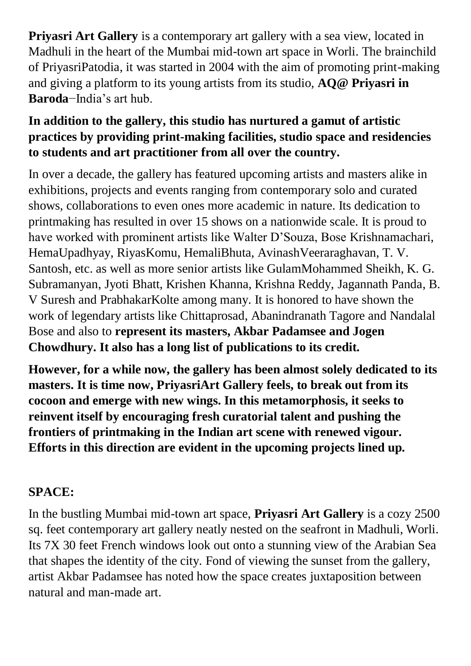**Priyasri Art Gallery** is a contemporary art gallery with a sea view, located in Madhuli in the heart of the Mumbai mid-town art space in Worli. The brainchild of PriyasriPatodia, it was started in 2004 with the aim of promoting print-making and giving a platform to its young artists from its studio, **AQ@ Priyasri in Baroda**−India's art hub.

### **In addition to the gallery, this studio has nurtured a gamut of artistic practices by providing print-making facilities, studio space and residencies to students and art practitioner from all over the country.**

In over a decade, the gallery has featured upcoming artists and masters alike in exhibitions, projects and events ranging from contemporary solo and curated shows, collaborations to even ones more academic in nature. Its dedication to printmaking has resulted in over 15 shows on a nationwide scale. It is proud to have worked with prominent artists like Walter D'Souza, Bose Krishnamachari, HemaUpadhyay, RiyasKomu, HemaliBhuta, AvinashVeeraraghavan, T. V. Santosh, etc. as well as more senior artists like GulamMohammed Sheikh, K. G. Subramanyan, Jyoti Bhatt, Krishen Khanna, Krishna Reddy, Jagannath Panda, B. V Suresh and PrabhakarKolte among many. It is honored to have shown the work of legendary artists like Chittaprosad, Abanindranath Tagore and Nandalal Bose and also to **represent its masters, Akbar Padamsee and Jogen Chowdhury. It also has a long list of publications to its credit.**

**However, for a while now, the gallery has been almost solely dedicated to its masters. It is time now, PriyasriArt Gallery feels, to break out from its cocoon and emerge with new wings. In this metamorphosis, it seeks to reinvent itself by encouraging fresh curatorial talent and pushing the frontiers of printmaking in the Indian art scene with renewed vigour. Efforts in this direction are evident in the upcoming projects lined up.** 

# **SPACE:**

In the bustling Mumbai mid-town art space, **Priyasri Art Gallery** is a cozy 2500 sq. feet contemporary art gallery neatly nested on the seafront in Madhuli, Worli. Its 7X 30 feet French windows look out onto a stunning view of the Arabian Sea that shapes the identity of the city. Fond of viewing the sunset from the gallery, artist Akbar Padamsee has noted how the space creates juxtaposition between natural and man-made art.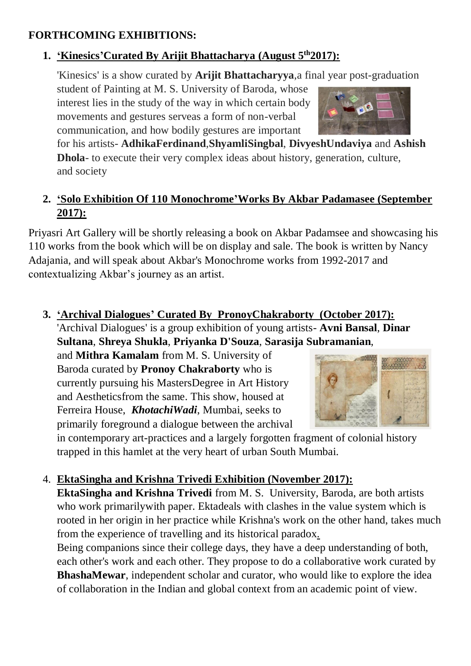#### **FORTHCOMING EXHIBITIONS:**

### 1. **Kinesics'Curated By Arijit Bhattacharya (August**  $5^{th}2017$ **):**

'Kinesics' is a show curated by **Arijit Bhattacharyya**,a final year post-graduation

student of Painting at M. S. University of Baroda, whose interest lies in the study of the way in which certain body movements and gestures serveas a form of non-verbal communication, and how bodily gestures are important

for his artists- **AdhikaFerdinand**,**ShyamliSingbal**, **DivyeshUndaviya** and **Ashish Dhola**- to execute their very complex ideas about history, generation, culture, and society

### **2. 'Solo Exhibition Of 110 Monochrome'Works By Akbar Padamasee (September 2017):**

Priyasri Art Gallery will be shortly releasing a book on Akbar Padamsee and showcasing his 110 works from the book which will be on display and sale. The book is written by Nancy Adajania, and will speak about Akbar's Monochrome works from 1992-2017 and contextualizing Akbar's journey as an artist.

**3. 'Archival Dialogues' Curated By PronoyChakraborty (October 2017):** 'Archival Dialogues' is a group exhibition of young artists- **Avni Bansal**, **Dinar Sultana**, **Shreya Shukla**, **Priyanka D'Souza**, **Sarasija Subramanian**,

and **Mithra Kamalam** from M. S. University of Baroda curated by **Pronoy Chakraborty** who is currently pursuing his MastersDegree in Art History and Aestheticsfrom the same. This show, housed at Ferreira House, *KhotachiWadi*, Mumbai, seeks to primarily foreground a dialogue between the archival



in contemporary art-practices and a largely forgotten fragment of colonial history trapped in this hamlet at the very heart of urban South Mumbai.

### 4. **EktaSingha and Krishna Trivedi Exhibition (November 2017):**

**EktaSingha and Krishna Trivedi** from M. S. University, Baroda, are both artists who work primarily with paper. Ektadeals with clashes in the value system which is rooted in her origin in her practice while Krishna's work on the other hand, takes much from the experience of travelling and its historical paradox.

Being companions since their college days, they have a deep understanding of both, each other's work and each other. They propose to do a collaborative work curated by **BhashaMewar**, independent scholar and curator, who would like to explore the idea of collaboration in the Indian and global context from an academic point of view.